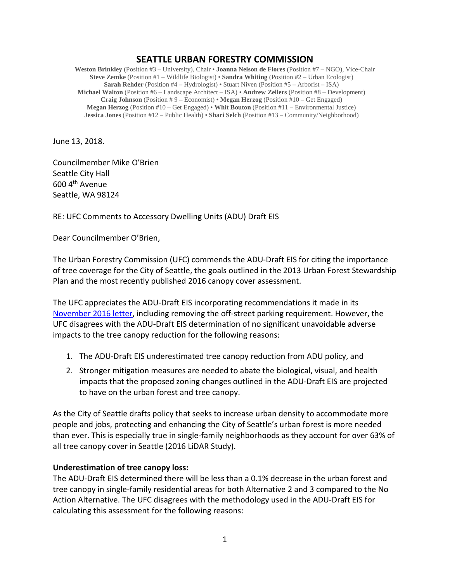## **SEATTLE URBAN FORESTRY COMMISSION**

**Weston Brinkley** (Position #3 – University), Chair • **Joanna Nelson de Flores** (Position #7 – NGO), Vice-Chair **Steve Zemke** (Position #1 – Wildlife Biologist) • **Sandra Whiting** (Position #2 – Urban Ecologist) **Sarah Rehder** (Position #4 – Hydrologist) • Stuart Niven (Position #5 – Arborist – ISA) **Michael Walton** (Position #6 – Landscape Architect – ISA) • **Andrew Zellers** (Position #8 – Development) **Craig Johnson** (Position # 9 – Economist) • **Megan Herzog** (Position #10 – Get Engaged) **Megan Herzog** (Position #10 – Get Engaged) • **Whit Bouton** (Position #11 – Environmental Justice) **Jessica Jones** (Position #12 – Public Health) • **Shari Selch** (Position #13 – Community/Neighborhood)

June 13, 2018.

Councilmember Mike O'Brien Seattle City Hall 600 4th Avenue Seattle, WA 98124

RE: UFC Comments to Accessory Dwelling Units (ADU) Draft EIS

Dear Councilmember O'Brien,

The Urban Forestry Commission (UFC) commends the ADU-Draft EIS for citing the importance of tree coverage for the City of Seattle, the goals outlined in the 2013 Urban Forest Stewardship Plan and the most recently published 2016 canopy cover assessment.

The UFC appreciates the ADU-Draft EIS incorporating recommendations it made in its November [2016 letter,](http://www.seattle.gov/Documents/Departments/UrbanForestryCommission/FinalIssuedDocuments/Recommendations/ADOPTED_DADU_letter_110916final.pdf) including removing the off-street parking requirement. However, the UFC disagrees with the ADU-Draft EIS determination of no significant unavoidable adverse impacts to the tree canopy reduction for the following reasons:

- 1. The ADU-Draft EIS underestimated tree canopy reduction from ADU policy, and
- 2. Stronger mitigation measures are needed to abate the biological, visual, and health impacts that the proposed zoning changes outlined in the ADU-Draft EIS are projected to have on the urban forest and tree canopy.

As the City of Seattle drafts policy that seeks to increase urban density to accommodate more people and jobs, protecting and enhancing the City of Seattle's urban forest is more needed than ever. This is especially true in single-family neighborhoods as they account for over 63% of all tree canopy cover in Seattle (2016 LiDAR Study).

## **Underestimation of tree canopy loss:**

The ADU-Draft EIS determined there will be less than a 0.1% decrease in the urban forest and tree canopy in single-family residential areas for both Alternative 2 and 3 compared to the No Action Alternative. The UFC disagrees with the methodology used in the ADU-Draft EIS for calculating this assessment for the following reasons: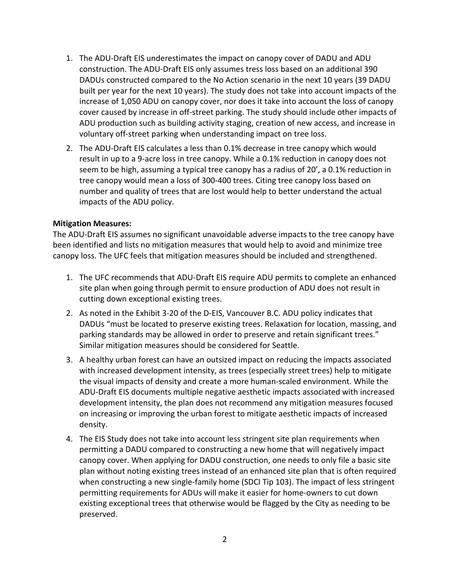- 1. The ADU-Draft EIS underestimates the impact on canopy cover of DADU and ADU construction. The ADU-Draft EIS only assumes tress loss based on an additional 390 DADUs constructed compared to the No Action scenario in the next 10 years (39 DADU built per year for the next 10 years). The study does not take into account impacts of the increase of 1,050 ADU on canopy cover, nor does it take into account the loss of canopy cover caused by increase in off-street parking. The study should include other impacts of ADU production such as building activity staging, creation of new access, and increase in voluntary off-street parking when understanding impact on tree loss.
- 2. The ADU-Draft EIS calculates a less than 0.1% decrease in tree canopy which would result in up to a 9-acre loss in tree canopy. While a 0.1% reduction in canopy does not seem to be high, assuming a typical tree canopy has a radius of 20', a 0.1% reduction in tree canopy would mean a loss of 300-400 trees. Citing tree canopy loss based on number and quality of trees that are lost would help to better understand the actual impacts of the ADU policy.

## **Mitigation Measures:**

The ADU-Draft EIS assumes no significant unavoidable adverse impacts to the tree canopy have been identified and lists no mitigation measures that would help to avoid and minimize tree canopy loss. The UFC feels that mitigation measures should be included and strengthened.

- 1. The UFC recommends that ADU-Draft EIS require ADU permits to complete an enhanced site plan when going through permit to ensure production of ADU does not result in cutting down exceptional existing trees.
- 2. As noted in the Exhibit 3-20 of the D-EIS, Vancouver B.C. ADU policy indicates that DADUs "must be located to preserve existing trees. Relaxation for location, massing, and parking standards may be allowed in order to preserve and retain significant trees." Similar mitigation measures should be considered for Seattle.
- 3. A healthy urban forest can have an outsized impact on reducing the impacts associated with increased development intensity, as trees (especially street trees) help to mitigate the visual impacts of density and create a more human-scaled environment. While the ADU-Draft EIS documents multiple negative aesthetic impacts associated with increased development intensity, the plan does not recommend any mitigation measures focused on increasing or improving the urban forest to mitigate aesthetic impacts of increased density.
- 4. The EIS Study does not take into account less stringent site plan requirements when permitting a DADU compared to constructing a new home that will negatively impact canopy cover. When applying for DADU construction, one needs to only file a basic site plan without noting existing trees instead of an enhanced site plan that is often required when constructing a new single-family home (SDCI Tip 103). The impact of less stringent permitting requirements for ADUs will make it easier for home-owners to cut down existing exceptional trees that otherwise would be flagged by the City as needing to be preserved.